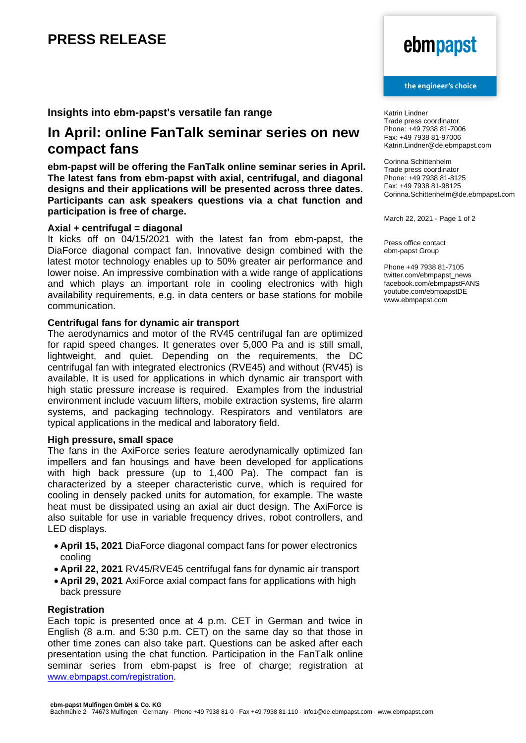## **PRESS RELEASE**

# ebmpapst

#### the engineer's choice

**Insights into ebm-papst's versatile fan range** 

### **In April: online FanTalk seminar series on new compact fans**

**ebm-papst will be offering the FanTalk online seminar series in April. The latest fans from ebm-papst with axial, centrifugal, and diagonal designs and their applications will be presented across three dates. Participants can ask speakers questions via a chat function and participation is free of charge.** 

#### **Axial + centrifugal = diagonal**

It kicks off on 04/15/2021 with the latest fan from ebm-papst, the DiaForce diagonal compact fan. Innovative design combined with the latest motor technology enables up to 50% greater air performance and lower noise. An impressive combination with a wide range of applications and which plays an important role in cooling electronics with high availability requirements, e.g. in data centers or base stations for mobile communication.

#### **Centrifugal fans for dynamic air transport**

The aerodynamics and motor of the RV45 centrifugal fan are optimized for rapid speed changes. It generates over 5,000 Pa and is still small, lightweight, and quiet. Depending on the requirements, the DC centrifugal fan with integrated electronics (RVE45) and without (RV45) is available. It is used for applications in which dynamic air transport with high static pressure increase is required. Examples from the industrial environment include vacuum lifters, mobile extraction systems, fire alarm systems, and packaging technology. Respirators and ventilators are typical applications in the medical and laboratory field.

#### **High pressure, small space**

The fans in the AxiForce series feature aerodynamically optimized fan impellers and fan housings and have been developed for applications with high back pressure (up to 1,400 Pa). The compact fan is characterized by a steeper characteristic curve, which is required for cooling in densely packed units for automation, for example. The waste heat must be dissipated using an axial air duct design. The AxiForce is also suitable for use in variable frequency drives, robot controllers, and LED displays.

- **April 15, 2021** DiaForce diagonal compact fans for power electronics cooling
- **April 22, 2021** RV45/RVE45 centrifugal fans for dynamic air transport
- **April 29, 2021** AxiForce axial compact fans for applications with high back pressure

#### **Registration**

Each topic is presented once at 4 p.m. CET in German and twice in English (8 a.m. and 5:30 p.m. CET) on the same day so that those in other time zones can also take part. Questions can be asked after each presentation using the chat function. Participation in the FanTalk online seminar series from ebm-papst is free of charge; registration at [www.ebmpapst.com/registration](http://www.ebmpapst.com/registration).

Katrin Lindner Trade press coordinator Phone: +49 7938 81-7006 Fax: +49 7938 81-97006 Katrin.Lindner@de.ebmpapst.com

Corinna Schittenhelm Trade press coordinator Phone: +49 7938 81-8125 Fax: +49 7938 81-98125 Corinna.Schittenhelm@de.ebmpapst.com

March 22, 2021 - Page 1 of 2

Press office contact ebm-papst Group

Phone +49 7938 81-7105 twitter.com/ebmpapst\_news facebook.com/ebmpapstFANS youtube.com/ebmpapstDE www.ebmpapst.com